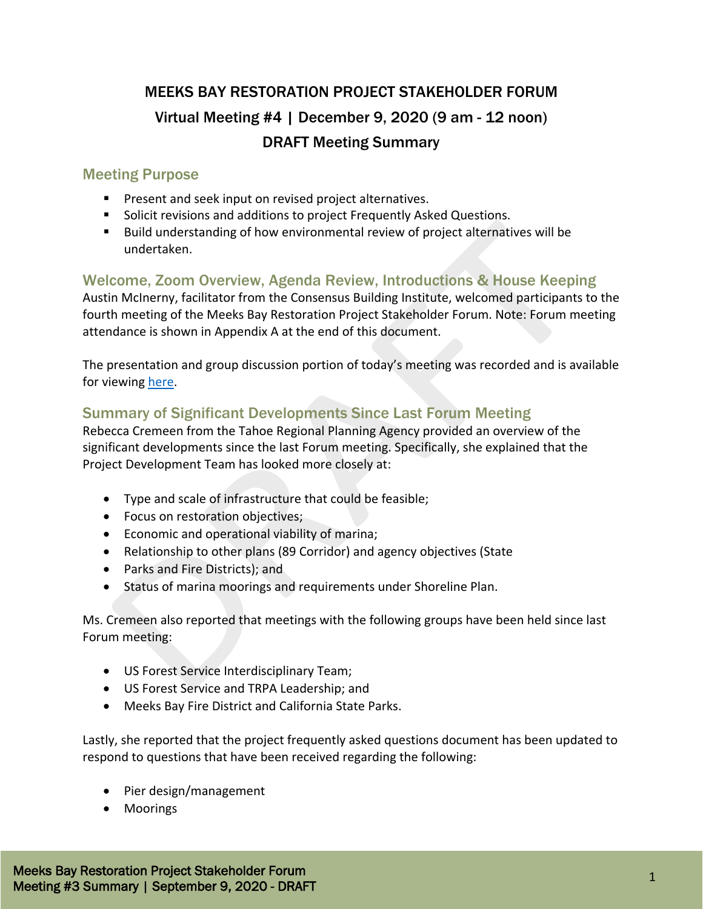# MEEKS BAY RESTORATION PROJECT STAKEHOLDER FORUM Virtual Meeting #4 | December 9, 2020 (9 am - 12 noon) DRAFT Meeting Summary

# Meeting Purpose

- **Present and seek input on revised project alternatives.**
- Solicit revisions and additions to project Frequently Asked Questions.
- Build understanding of how environmental review of project alternatives will be undertaken.

# Welcome, Zoom Overview, Agenda Review, Introductions & House Keeping

Austin McInerny, facilitator from the Consensus Building Institute, welcomed participants to the fourth meeting of the Meeks Bay Restoration Project Stakeholder Forum. Note: Forum meeting attendance is shown in Appendix A at the end of this document.

The presentation and group discussion portion of today's meeting was recorded and is available for viewing [here.](https://cbuilding.zoom.us/rec/play/g3gqNUFv0hc0-q7U3HfplbNLRe7oujYfmIQboF2_yckNixnNMAuu3QEaJtvdDm05YSVL9sbxh1ps5a0L.rc7Xs8CF5bsj56hX?continueMode=true&_x_zm_rtaid=JZbudHQ9Qu-QEqEzX0CIZA.1609805620163.ca3af942aedad31d1d43da8b1bc07b57&_x_zm_rhtaid=747)

# Summary of Significant Developments Since Last Forum Meeting

Rebecca Cremeen from the Tahoe Regional Planning Agency provided an overview of the significant developments since the last Forum meeting. Specifically, she explained that the Project Development Team has looked more closely at:

- Type and scale of infrastructure that could be feasible;
- Focus on restoration objectives;
- Economic and operational viability of marina;
- Relationship to other plans (89 Corridor) and agency objectives (State
- Parks and Fire Districts); and
- Status of marina moorings and requirements under Shoreline Plan.

Ms. Cremeen also reported that meetings with the following groups have been held since last Forum meeting:

- US Forest Service Interdisciplinary Team;
- US Forest Service and TRPA Leadership; and
- Meeks Bay Fire District and California State Parks.

Lastly, she reported that the project frequently asked questions document has been updated to respond to questions that have been received regarding the following:

- Pier design/management
- Moorings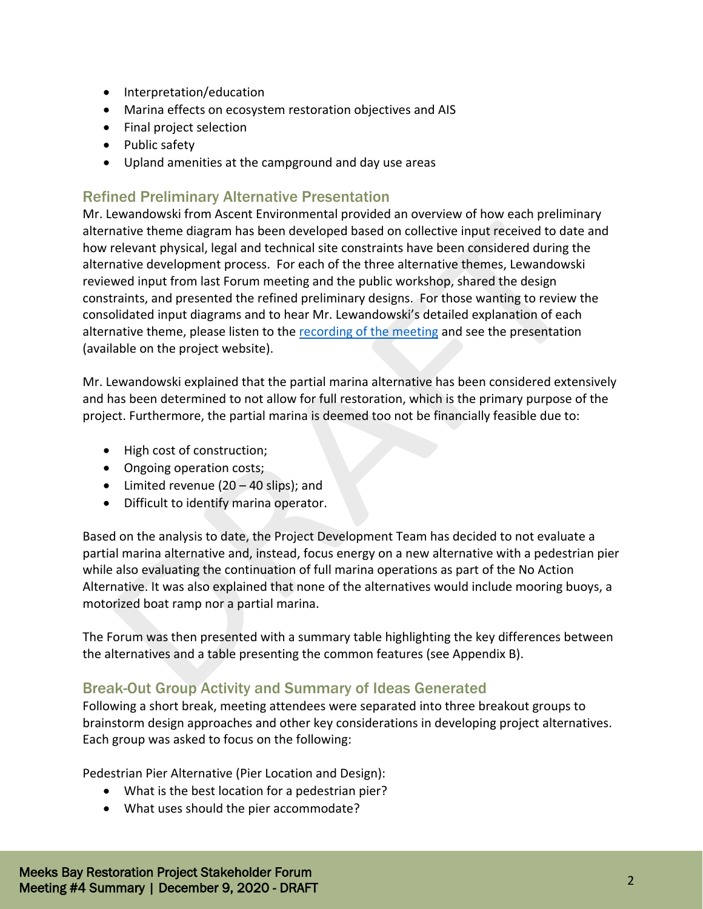- Interpretation/education
- Marina effects on ecosystem restoration objectives and AIS
- Final project selection
- Public safety
- Upland amenities at the campground and day use areas

# Refined Preliminary Alternative Presentation

Mr. Lewandowski from Ascent Environmental provided an overview of how each preliminary alternative theme diagram has been developed based on collective input received to date and how relevant physical, legal and technical site constraints have been considered during the alternative development process. For each of the three alternative themes, Lewandowski reviewed input from last Forum meeting and the public workshop, shared the design constraints, and presented the refined preliminary designs. For those wanting to review the consolidated input diagrams and to hear Mr. Lewandowski's detailed explanation of each alternative theme, please listen to the [recording of the meeting](https://cbuilding.zoom.us/rec/play/g3gqNUFv0hc0-q7U3HfplbNLRe7oujYfmIQboF2_yckNixnNMAuu3QEaJtvdDm05YSVL9sbxh1ps5a0L.rc7Xs8CF5bsj56hX?continueMode=true&_x_zm_rtaid=JZbudHQ9Qu-QEqEzX0CIZA.1609805620163.ca3af942aedad31d1d43da8b1bc07b57&_x_zm_rhtaid=747) and see the presentation (available on the project website).

Mr. Lewandowski explained that the partial marina alternative has been considered extensively and has been determined to not allow for full restoration, which is the primary purpose of the project. Furthermore, the partial marina is deemed too not be financially feasible due to:

- High cost of construction;
- Ongoing operation costs;
- Limited revenue (20 40 slips); and
- Difficult to identify marina operator.

Based on the analysis to date, the Project Development Team has decided to not evaluate a partial marina alternative and, instead, focus energy on a new alternative with a pedestrian pier while also evaluating the continuation of full marina operations as part of the No Action Alternative. It was also explained that none of the alternatives would include mooring buoys, a motorized boat ramp nor a partial marina.

The Forum was then presented with a summary table highlighting the key differences between the alternatives and a table presenting the common features (see Appendix B).

# Break-Out Group Activity and Summary of Ideas Generated

Following a short break, meeting attendees were separated into three breakout groups to brainstorm design approaches and other key considerations in developing project alternatives. Each group was asked to focus on the following:

Pedestrian Pier Alternative (Pier Location and Design):

- What is the best location for a pedestrian pier?
- What uses should the pier accommodate?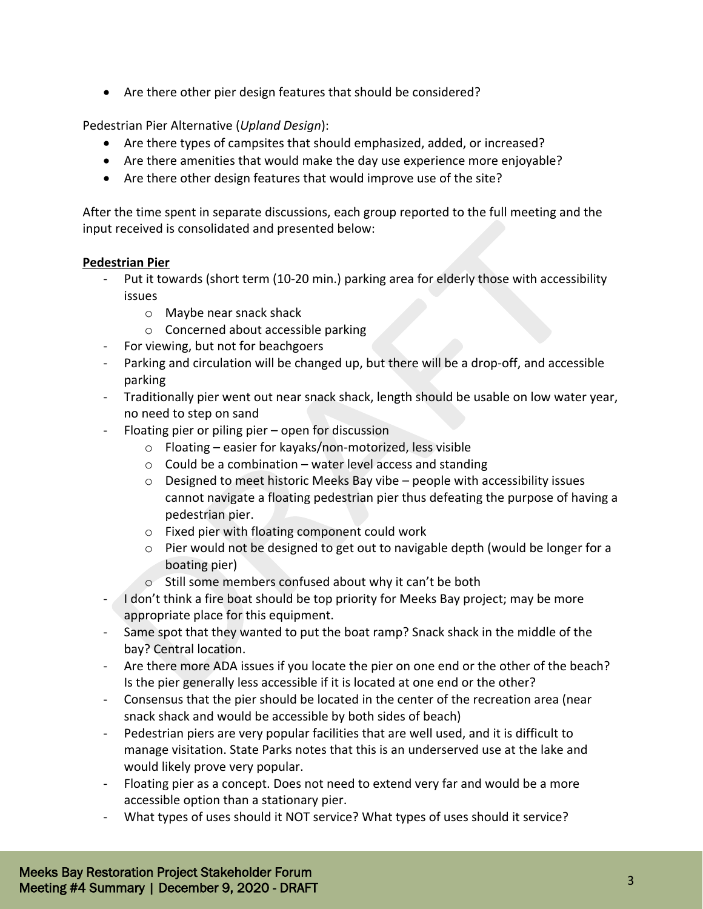• Are there other pier design features that should be considered?

Pedestrian Pier Alternative (*Upland Design*):

- Are there types of campsites that should emphasized, added, or increased?
- Are there amenities that would make the day use experience more enjoyable?
- Are there other design features that would improve use of the site?

After the time spent in separate discussions, each group reported to the full meeting and the input received is consolidated and presented below:

#### **Pedestrian Pier**

- Put it towards (short term (10-20 min.) parking area for elderly those with accessibility issues
	- o Maybe near snack shack
	- o Concerned about accessible parking
- For viewing, but not for beachgoers
- Parking and circulation will be changed up, but there will be a drop-off, and accessible parking
- Traditionally pier went out near snack shack, length should be usable on low water year, no need to step on sand
- Floating pier or piling pier open for discussion
	- o Floating easier for kayaks/non-motorized, less visible
	- o Could be a combination water level access and standing
	- $\circ$  Designed to meet historic Meeks Bay vibe people with accessibility issues cannot navigate a floating pedestrian pier thus defeating the purpose of having a pedestrian pier.
	- o Fixed pier with floating component could work
	- o Pier would not be designed to get out to navigable depth (would be longer for a boating pier)
	- o Still some members confused about why it can't be both
- I don't think a fire boat should be top priority for Meeks Bay project; may be more appropriate place for this equipment.
- Same spot that they wanted to put the boat ramp? Snack shack in the middle of the bay? Central location.
- Are there more ADA issues if you locate the pier on one end or the other of the beach? Is the pier generally less accessible if it is located at one end or the other?
- Consensus that the pier should be located in the center of the recreation area (near snack shack and would be accessible by both sides of beach)
- Pedestrian piers are very popular facilities that are well used, and it is difficult to manage visitation. State Parks notes that this is an underserved use at the lake and would likely prove very popular.
- Floating pier as a concept. Does not need to extend very far and would be a more accessible option than a stationary pier.
- What types of uses should it NOT service? What types of uses should it service?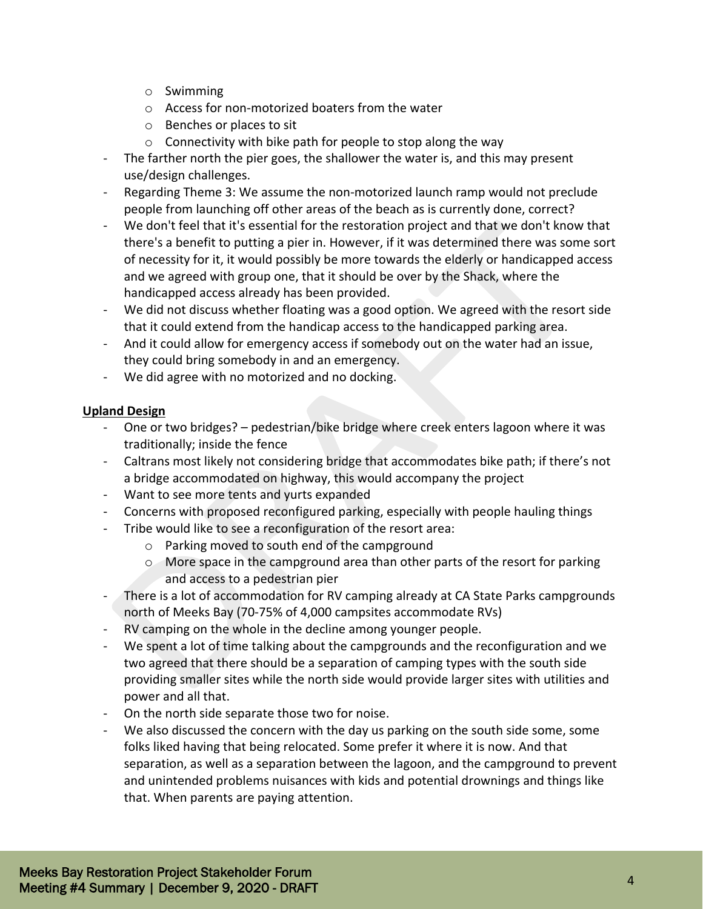- o Swimming
- o Access for non-motorized boaters from the water
- o Benches or places to sit
- o Connectivity with bike path for people to stop along the way
- The farther north the pier goes, the shallower the water is, and this may present use/design challenges.
- Regarding Theme 3: We assume the non-motorized launch ramp would not preclude people from launching off other areas of the beach as is currently done, correct?
- We don't feel that it's essential for the restoration project and that we don't know that there's a benefit to putting a pier in. However, if it was determined there was some sort of necessity for it, it would possibly be more towards the elderly or handicapped access and we agreed with group one, that it should be over by the Shack, where the handicapped access already has been provided.
- We did not discuss whether floating was a good option. We agreed with the resort side that it could extend from the handicap access to the handicapped parking area.
- And it could allow for emergency access if somebody out on the water had an issue, they could bring somebody in and an emergency.
- We did agree with no motorized and no docking.

#### **Upland Design**

- One or two bridges? pedestrian/bike bridge where creek enters lagoon where it was traditionally; inside the fence
- Caltrans most likely not considering bridge that accommodates bike path; if there's not a bridge accommodated on highway, this would accompany the project
- Want to see more tents and yurts expanded
- Concerns with proposed reconfigured parking, especially with people hauling things
- Tribe would like to see a reconfiguration of the resort area:
	- o Parking moved to south end of the campground
	- o More space in the campground area than other parts of the resort for parking and access to a pedestrian pier
- There is a lot of accommodation for RV camping already at CA State Parks campgrounds north of Meeks Bay (70-75% of 4,000 campsites accommodate RVs)
- RV camping on the whole in the decline among younger people.
- We spent a lot of time talking about the campgrounds and the reconfiguration and we two agreed that there should be a separation of camping types with the south side providing smaller sites while the north side would provide larger sites with utilities and power and all that.
- On the north side separate those two for noise.
- We also discussed the concern with the day us parking on the south side some, some folks liked having that being relocated. Some prefer it where it is now. And that separation, as well as a separation between the lagoon, and the campground to prevent and unintended problems nuisances with kids and potential drownings and things like that. When parents are paying attention.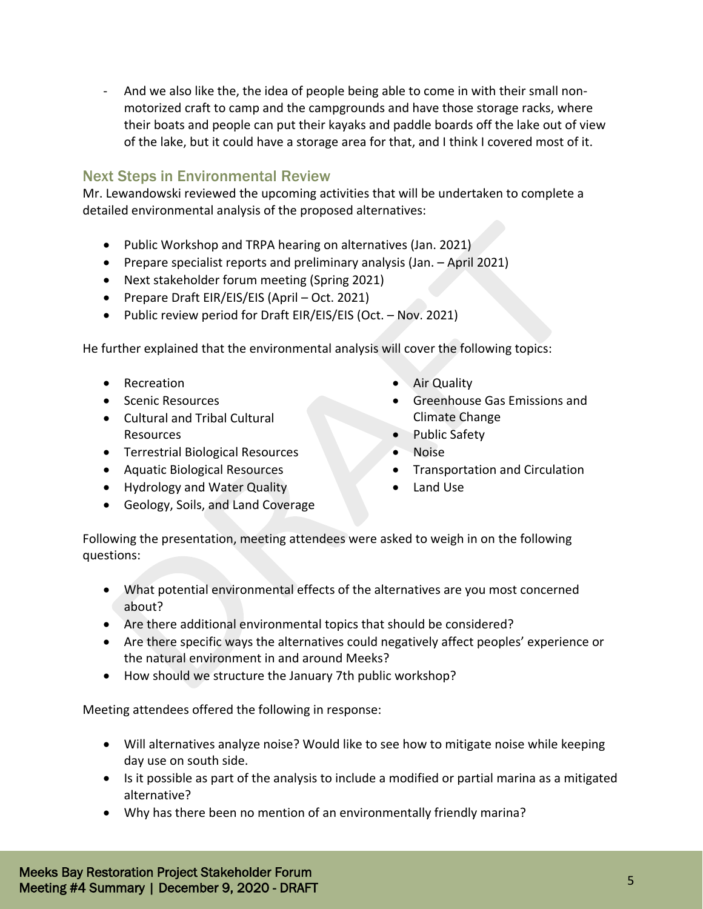- And we also like the, the idea of people being able to come in with their small nonmotorized craft to camp and the campgrounds and have those storage racks, where their boats and people can put their kayaks and paddle boards off the lake out of view of the lake, but it could have a storage area for that, and I think I covered most of it.

### Next Steps in Environmental Review

Mr. Lewandowski reviewed the upcoming activities that will be undertaken to complete a detailed environmental analysis of the proposed alternatives:

- Public Workshop and TRPA hearing on alternatives (Jan. 2021)
- Prepare specialist reports and preliminary analysis (Jan. April 2021)
- Next stakeholder forum meeting (Spring 2021)
- Prepare Draft EIR/EIS/EIS (April Oct. 2021)
- Public review period for Draft EIR/EIS/EIS (Oct. Nov. 2021)

He further explained that the environmental analysis will cover the following topics:

- Recreation
- Scenic Resources
- Cultural and Tribal Cultural Resources
- Terrestrial Biological Resources
- Aquatic Biological Resources
- Hydrology and Water Quality
- Geology, Soils, and Land Coverage
- Air Quality
- Greenhouse Gas Emissions and Climate Change
- Public Safety
- Noise
- Transportation and Circulation
- Land Use

Following the presentation, meeting attendees were asked to weigh in on the following questions:

- What potential environmental effects of the alternatives are you most concerned about?
- Are there additional environmental topics that should be considered?
- Are there specific ways the alternatives could negatively affect peoples' experience or the natural environment in and around Meeks?
- How should we structure the January 7th public workshop?

Meeting attendees offered the following in response:

- Will alternatives analyze noise? Would like to see how to mitigate noise while keeping day use on south side.
- Is it possible as part of the analysis to include a modified or partial marina as a mitigated alternative?
- Why has there been no mention of an environmentally friendly marina?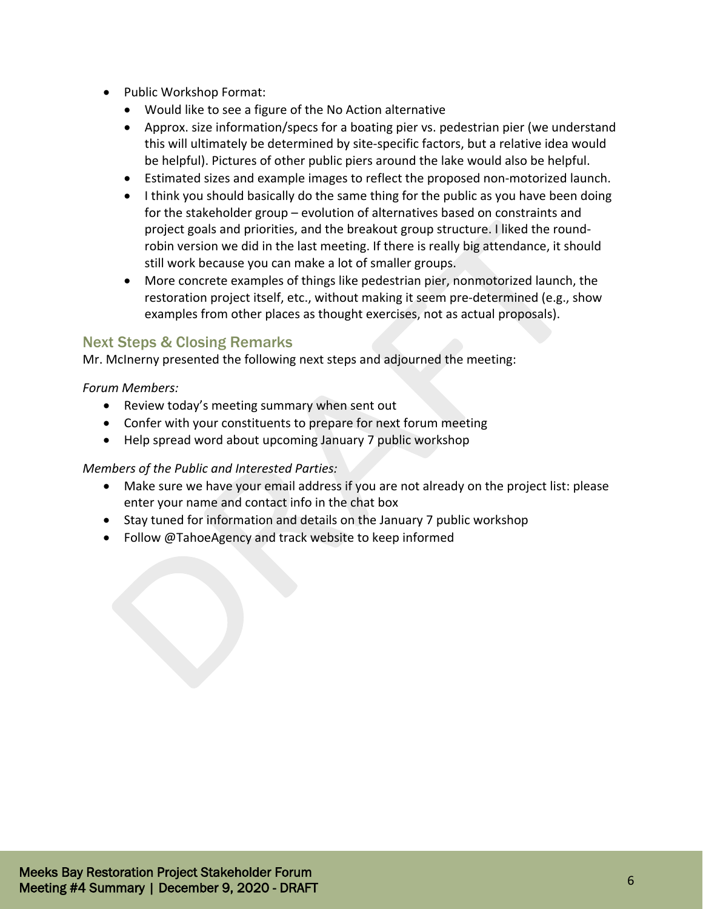- Public Workshop Format:
	- Would like to see a figure of the No Action alternative
	- Approx. size information/specs for a boating pier vs. pedestrian pier (we understand this will ultimately be determined by site-specific factors, but a relative idea would be helpful). Pictures of other public piers around the lake would also be helpful.
	- Estimated sizes and example images to reflect the proposed non-motorized launch.
	- I think you should basically do the same thing for the public as you have been doing for the stakeholder group – evolution of alternatives based on constraints and project goals and priorities, and the breakout group structure. I liked the roundrobin version we did in the last meeting. If there is really big attendance, it should still work because you can make a lot of smaller groups.
	- More concrete examples of things like pedestrian pier, nonmotorized launch, the restoration project itself, etc., without making it seem pre-determined (e.g., show examples from other places as thought exercises, not as actual proposals).

# Next Steps & Closing Remarks

Mr. McInerny presented the following next steps and adjourned the meeting:

#### *Forum Members:*

- Review today's meeting summary when sent out
- Confer with your constituents to prepare for next forum meeting
- Help spread word about upcoming January 7 public workshop

#### *Members of the Public and Interested Parties:*

- Make sure we have your email address if you are not already on the project list: please enter your name and contact info in the chat box
- Stay tuned for information and details on the January 7 public workshop
- Follow @TahoeAgency and track website to keep informed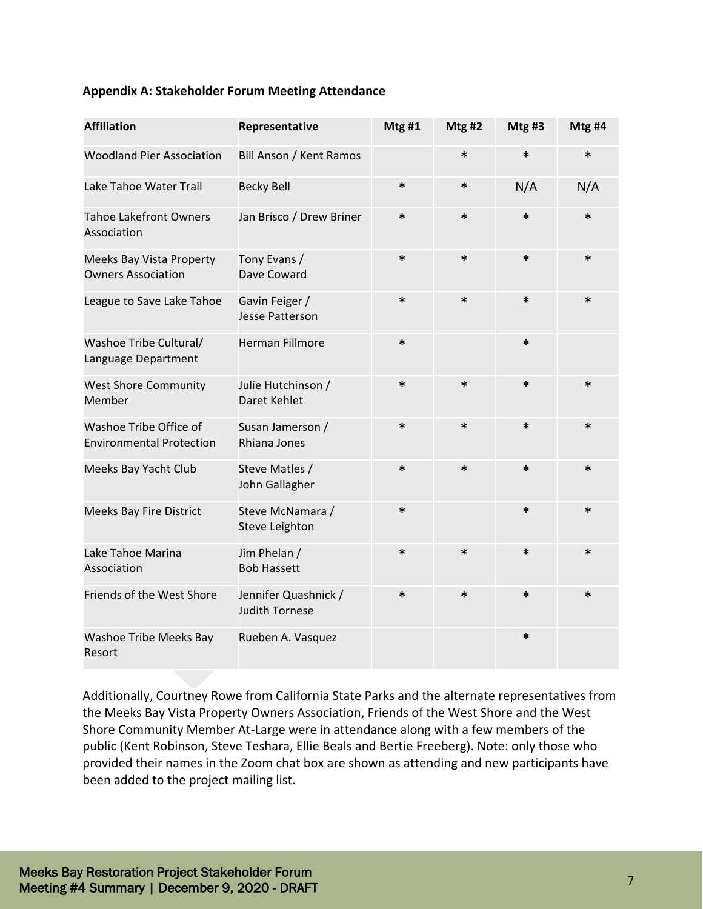#### **Appendix A: Stakeholder Forum Meeting Attendance**

| <b>Affiliation</b>                                        | Representative                                | Mtg#1  | Mtg#2  | Mtg#3  | Mtg #4 |
|-----------------------------------------------------------|-----------------------------------------------|--------|--------|--------|--------|
| <b>Woodland Pier Association</b>                          | <b>Bill Anson / Kent Ramos</b>                |        | $\ast$ | $\ast$ | $\ast$ |
| Lake Tahoe Water Trail                                    | <b>Becky Bell</b>                             | $\ast$ | $\ast$ | N/A    | N/A    |
| <b>Tahoe Lakefront Owners</b><br>Association              | Jan Brisco / Drew Briner                      | $\ast$ | $\ast$ | $\ast$ | $\ast$ |
| Meeks Bay Vista Property<br><b>Owners Association</b>     | Tony Evans /<br>Dave Coward                   | $\ast$ | $\ast$ | $\ast$ | $\ast$ |
| League to Save Lake Tahoe                                 | Gavin Feiger /<br><b>Jesse Patterson</b>      | $\ast$ | $\ast$ | $\ast$ | $\ast$ |
| Washoe Tribe Cultural/<br>Language Department             | <b>Herman Fillmore</b>                        | $\ast$ |        | $\ast$ |        |
| <b>West Shore Community</b><br>Member                     | Julie Hutchinson /<br>Daret Kehlet            | $\ast$ | $\ast$ | $\ast$ | $\ast$ |
| Washoe Tribe Office of<br><b>Environmental Protection</b> | Susan Jamerson /<br>Rhiana Jones              | $\ast$ | $\ast$ | $\ast$ | $\ast$ |
| Meeks Bay Yacht Club                                      | Steve Matles /<br>John Gallagher              | $\ast$ | $\ast$ | $\ast$ | $\ast$ |
| <b>Meeks Bay Fire District</b>                            | Steve McNamara /<br><b>Steve Leighton</b>     | $\ast$ |        | $\ast$ | $\ast$ |
| Lake Tahoe Marina<br>Association                          | Jim Phelan /<br><b>Bob Hassett</b>            | $\ast$ | $\ast$ | $\ast$ | $\ast$ |
| Friends of the West Shore                                 | Jennifer Quashnick /<br><b>Judith Tornese</b> | $\ast$ | $\ast$ | $\ast$ | $\ast$ |
| Washoe Tribe Meeks Bay<br>Resort                          | Rueben A. Vasquez                             |        |        | $\ast$ |        |

Additionally, Courtney Rowe from California State Parks and the alternate representatives from the Meeks Bay Vista Property Owners Association, Friends of the West Shore and the West Shore Community Member At-Large were in attendance along with a few members of the public (Kent Robinson, Steve Teshara, Ellie Beals and Bertie Freeberg). Note: only those who provided their names in the Zoom chat box are shown as attending and new participants have been added to the project mailing list.